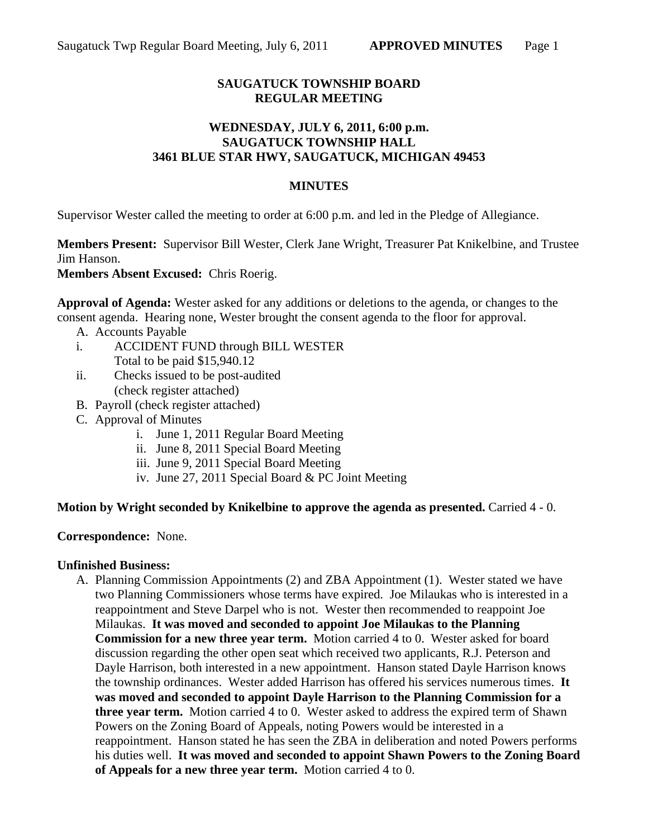# **SAUGATUCK TOWNSHIP BOARD REGULAR MEETING**

## **WEDNESDAY, JULY 6, 2011, 6:00 p.m. SAUGATUCK TOWNSHIP HALL 3461 BLUE STAR HWY, SAUGATUCK, MICHIGAN 49453**

### **MINUTES**

Supervisor Wester called the meeting to order at 6:00 p.m. and led in the Pledge of Allegiance.

**Members Present:** Supervisor Bill Wester, Clerk Jane Wright, Treasurer Pat Knikelbine, and Trustee Jim Hanson.

**Members Absent Excused:** Chris Roerig.

**Approval of Agenda:** Wester asked for any additions or deletions to the agenda, or changes to the consent agenda. Hearing none, Wester brought the consent agenda to the floor for approval.

- A. Accounts Payable
- i. ACCIDENT FUND through BILL WESTER Total to be paid \$15,940.12
- ii. Checks issued to be post-audited (check register attached)
- B. Payroll (check register attached)
- C. Approval of Minutes
	- i. June 1, 2011 Regular Board Meeting
	- ii. June 8, 2011 Special Board Meeting
	- iii. June 9, 2011 Special Board Meeting
	- iv. June 27, 2011 Special Board & PC Joint Meeting

### **Motion by Wright seconded by Knikelbine to approve the agenda as presented.** Carried 4 - 0.

### **Correspondence:** None.

### **Unfinished Business:**

A. Planning Commission Appointments (2) and ZBA Appointment (1). Wester stated we have two Planning Commissioners whose terms have expired. Joe Milaukas who is interested in a reappointment and Steve Darpel who is not. Wester then recommended to reappoint Joe Milaukas. **It was moved and seconded to appoint Joe Milaukas to the Planning Commission for a new three year term.** Motion carried 4 to 0. Wester asked for board discussion regarding the other open seat which received two applicants, R.J. Peterson and Dayle Harrison, both interested in a new appointment. Hanson stated Dayle Harrison knows the township ordinances. Wester added Harrison has offered his services numerous times. **It was moved and seconded to appoint Dayle Harrison to the Planning Commission for a three year term.** Motion carried 4 to 0. Wester asked to address the expired term of Shawn Powers on the Zoning Board of Appeals, noting Powers would be interested in a reappointment. Hanson stated he has seen the ZBA in deliberation and noted Powers performs his duties well. **It was moved and seconded to appoint Shawn Powers to the Zoning Board of Appeals for a new three year term.** Motion carried 4 to 0.